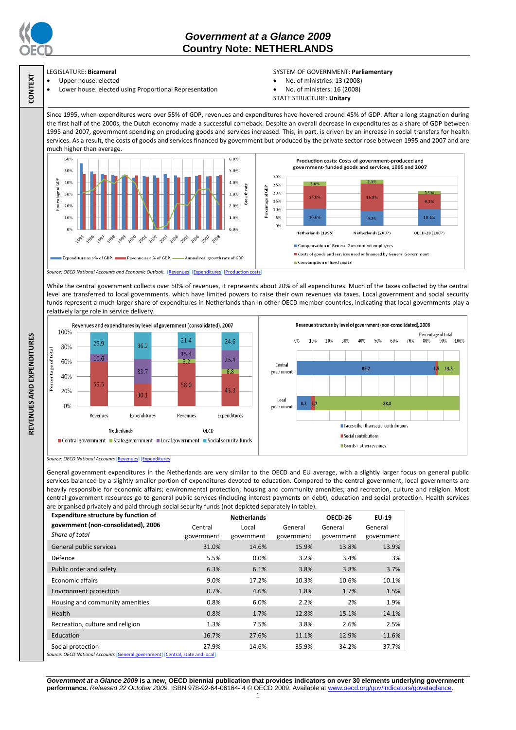

**CONTEXT**

**REVENUES AND EXPENDITURES**

REVENUES AND EXPENDITURES

# *Government at a Glance 2009*  **Country Note: NETHERLANDS**

# LEGISLATURE: **Bicameral**

 Upper house: elected Lower house: elected using Proportional Representation

### SYSTEM OF GOVERNMENT: **Parliamentary**

- No. of ministries: 13 (2008)
- No. of ministers: 16 (2008)
- STATE STRUCTURE: **Unitary**

Since 1995, when expenditures were over 55% of GDP, revenues and expenditures have hovered around 45% of GDP. After a long stagnation during the first half of the 2000s, the Dutch economy made a successful comeback. Despite an overall decrease in expenditures as a share of GDP between 1995 and 2007, government spending on producing goods and services increased. This, in part, is driven by an increase in social transfers for health services. As a result, the costs of goods and services financed by government but produced by the private sector rose between 1995 and 2007 and are much higher than average.



While the central government collects over 50% of revenues, it represents about 20% of all expenditures. Much of the taxes collected by the central level are transferred to local governments, which have limited powers to raise their own revenues via taxes. Local government and social security funds represent a much larger share of expenditures in Netherlands than in other OECD member countries, indicating that local governments play a relatively large role in service delivery.



*Source: OECD National Accounts* [\[Revenues\]](http://dx.doi.org/10.1787/723418413857) [\[Expenditures\]](http://dx.doi.org/10.1787/723508524025)

General government expenditures in the Netherlands are very similar to the OECD and EU average, with a slightly larger focus on general public services balanced by a slightly smaller portion of expenditures devoted to education. Compared to the central government, local governments are heavily responsible for economic affairs; environmental protection; housing and community amenities; and recreation, culture and religion. Most central government resources go to general public services (including interest payments on debt), education and social protection. Health services are organised privately and paid through social security funds (not depicted separately in table).

| <b>Expenditure structure by function of</b>                                                      | <b>Netherlands</b> |            |            | OECD-26    | EU-19      |
|--------------------------------------------------------------------------------------------------|--------------------|------------|------------|------------|------------|
| government (non-consolidated), 2006                                                              | Central            | Local      | General    | General    | General    |
| Share of total                                                                                   | government         | government | government | government | government |
| General public services                                                                          | 31.0%              | 14.6%      | 15.9%      | 13.8%      | 13.9%      |
| Defence                                                                                          | 5.5%               | $0.0\%$    | 3.2%       | 3.4%       | 3%         |
| Public order and safety                                                                          | 6.3%               | 6.1%       | 3.8%       | 3.8%       | 3.7%       |
| <b>Economic affairs</b>                                                                          | 9.0%               | 17.2%      | 10.3%      | 10.6%      | 10.1%      |
| Environment protection                                                                           | 0.7%               | 4.6%       | 1.8%       | 1.7%       | 1.5%       |
| Housing and community amenities                                                                  | 0.8%               | 6.0%       | 2.2%       | 2%         | 1.9%       |
| Health                                                                                           | 0.8%               | 1.7%       | 12.8%      | 15.1%      | 14.1%      |
| Recreation, culture and religion                                                                 | 1.3%               | 7.5%       | 3.8%       | 2.6%       | 2.5%       |
| Education                                                                                        | 16.7%              | 27.6%      | 11.1%      | 12.9%      | 11.6%      |
| Social protection<br>Grupo OECD National Accounts [Conoral government] [Control state and local] | 27.9%              | 14.6%      | 35.9%      | 34.2%      | 37.7%      |

*Source: OECD National Accounts* [\[General government\]](http://dx.doi.org/10.1787/723501646741) [\[Central, state and local\]](http://dx.doi.org/10.1787/723508524025)

*Government at a Glance 2009* **is a new, OECD biennial publication that provides indicators on over 30 elements underlying government performance.** *Released 22 October 2009.* ISBN 978-92-64-06164- 4 © OECD 2009. Available at www.oecd.org/gov/indicators/govataglance.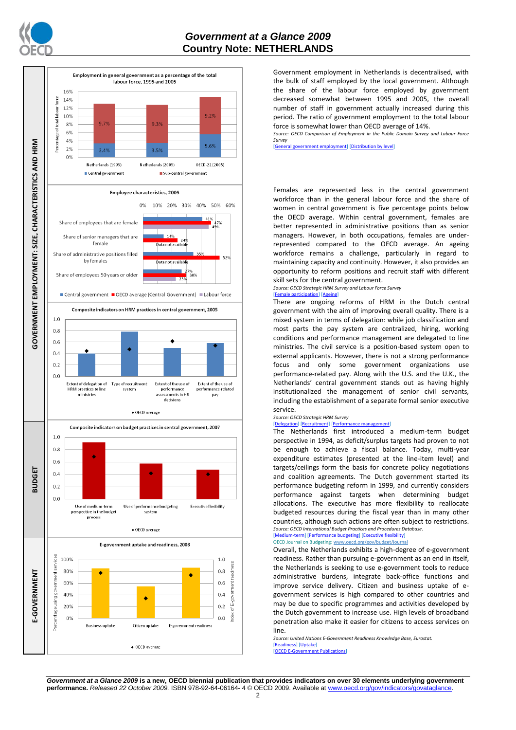

## *Government at a Glance 2009*  **Country Note: NETHERLANDS**



Government employment in Netherlands is decentralised, with the bulk of staff employed by the local government. Although the share of the labour force employed by government decreased somewhat between 1995 and 2005, the overall number of staff in government actually increased during this period. The ratio of government employment to the total labour force is somewhat lower than OECD average of 14%. *Source: OECD Comparison of Employment in the Public Domain Survey and Labour Force* 

*Survey* [\[General government employment\]](http://dx.doi.org/10.1787/723622503117) [\[Distribution by level\]](http://dx.doi.org/10.1787/723627140760)

Females are represented less in the central government workforce than in the general labour force and the share of women in central government is five percentage points below the OECD average. Within central government, females are better represented in administrative positions than as senior managers. However, in both occupations, females are underrepresented compared to the OECD average. An ageing workforce remains a challenge, particularly in regard to maintaining capacity and continuity. However, it also provides an opportunity to reform positions and recruit staff with different skill sets for the central government.

*Source: OECD Strategic HRM Survey and Labour Force Survey*

## [\[Female participation\]](http://dx.doi.org/10.1787/723642841533) [\[Ageing\]](http://dx.doi.org/10.1787/723656070327)

There are ongoing reforms of HRM in the Dutch central government with the aim of improving overall quality. There is a mixed system in terms of delegation: while job classification and most parts the pay system are centralized, hiring, working conditions and performance management are delegated to line ministries. The civil service is a position-based system open to external applicants. However, there is not a strong performance focus and only some government organizations use performance-related pay. Along with the U.S. and the U.K., the Netherlands' central government stands out as having highly institutionalized the management of senior civil servants, including the establishment of a separate formal senior executive service.

#### *Source: OECD Strategic HRM Survey*

### ation] [\[Recruitment\]](http://dx.doi.org/10.1787/723668744361) [Perf

The Netherlands first introduced a medium-term budget perspective in 1994, as deficit/surplus targets had proven to not be enough to achieve a fiscal balance. Today, multi-year expenditure estimates (presented at the line-item level) and targets/ceilings form the basis for concrete policy negotiations and coalition agreements. The Dutch government started its performance budgeting reform in 1999, and currently considers performance against targets when determining budget allocations. The executive has more flexibility to reallocate budgeted resources during the fiscal year than in many other countries, although such actions are often subject to restrictions. *Source: OECD International Budget Practices and Procedures Database.* occo *international* energy continue and the mediatric flexibility]

### OECD Journal on Budgeting[: www.oecd.org/gov/budget/journal](http://www.oecd.org/gov/budget/journal)

Overall, the Netherlands exhibits a high-degree of e-government readiness. Rather than pursuing e-government as an end in itself, the Netherlands is seeking to use e-government tools to reduce administrative burdens, integrate back-office functions and improve service delivery. Citizen and business uptake of egovernment services is high compared to other countries and may be due to specific programmes and activities developed by the Dutch government to increase use. High levels of broadband penetration also make it easier for citizens to access services on line.

*Source: United Nations E-Government Readiness Knowledge Base, Eurostat.* [\[Readiness\]](http://dx.doi.org/10.1787/724248078408) [\[Uptake\]](http://dx.doi.org/10.1787/724264662272) [\[OECD E-Government Publications\]](http://www.oecd.org/document/40/0,3343,en_2649_34129_41342248_1_1_1_1,00.html)

*Government at a Glance 2009* **is a new, OECD biennial publication that provides indicators on over 30 elements underlying government performance.** *Released 22 October 2009.* ISBN 978-92-64-06164- 4 © OECD 2009. Available at www.oecd.org/gov/indicators/govataglance.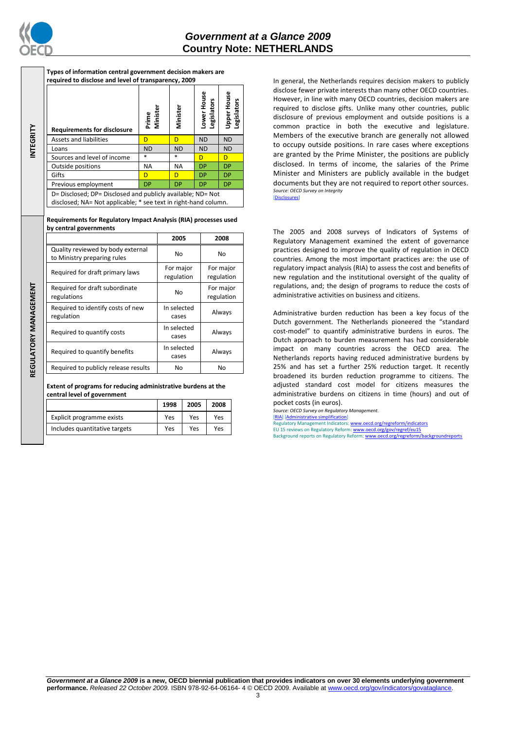

**INTEGRITY**

**REGULATORY MANAGEMENT**REGULATORY MANAGEMENT **Types of information central government decision makers are required to disclose and level of transparency, 2009**

| <b>Requirements for disclosure</b>                                                                                             | Prime<br>Minister | Minister  | ower House<br><b>Legislators</b> | <b>Upper House</b><br>Legislators |
|--------------------------------------------------------------------------------------------------------------------------------|-------------------|-----------|----------------------------------|-----------------------------------|
| <b>Assets and liabilities</b>                                                                                                  | D                 | D         | <b>ND</b>                        | <b>ND</b>                         |
| Loans                                                                                                                          | <b>ND</b>         | <b>ND</b> | <b>ND</b>                        | <b>ND</b>                         |
| Sources and level of income                                                                                                    | $*$               | $\ast$    | D                                | D                                 |
| Outside positions                                                                                                              | <b>NA</b>         | <b>NA</b> | <b>DP</b>                        | <b>DP</b>                         |
| Gifts                                                                                                                          | D                 | D         | <b>DP</b>                        | <b>DP</b>                         |
| Previous employment                                                                                                            | <b>DP</b>         | <b>DP</b> | <b>DP</b>                        | DP                                |
| D= Disclosed; DP= Disclosed and publicly available; ND= Not<br>disclosed; NA= Not applicable; * see text in right-hand column. |                   |           |                                  |                                   |

**Requirements for Regulatory Impact Analysis (RIA) processes used by central governments**

|                                                                  | 2005                    | 2008                    |  |
|------------------------------------------------------------------|-------------------------|-------------------------|--|
| Quality reviewed by body external<br>to Ministry preparing rules | No                      | No                      |  |
| Required for draft primary laws                                  | For major<br>regulation | For major<br>regulation |  |
| Required for draft subordinate<br>regulations                    | No                      | For major<br>regulation |  |
| Required to identify costs of new<br>regulation                  | In selected<br>cases    | Always                  |  |
| Required to quantify costs                                       | In selected<br>cases    | Always                  |  |
| Required to quantify benefits                                    | In selected<br>cases    | Always                  |  |
| Required to publicly release results                             | No                      | No                      |  |

**Extent of programs for reducing administrative burdens at the central level of government**

|                               | 1998 | 2005 | 2008 |
|-------------------------------|------|------|------|
| Explicit programme exists     | Yes  | Yes  | Yes  |
| Includes quantitative targets | Yes  | Yes  | Yes  |

In general, the Netherlands requires decision makers to publicly disclose fewer private interests than many other OECD countries. However, in line with many OECD countries, decision makers are required to disclose gifts. Unlike many other countries, public disclosure of previous employment and outside positions is a common practice in both the executive and legislature. Members of the executive branch are generally not allowed to occupy outside positions. In rare cases where exceptions are granted by the Prime Minister, the positions are publicly disclosed. In terms of income, the salaries of the Prime Minister and Ministers are publicly available in the budget documents but they are not required to report other sources. *Source: OECD Survey on Integrity* [\[Disclosures\]](http://dx.doi.org/10.1787/724123642681)

The 2005 and 2008 surveys of Indicators of Systems of Regulatory Management examined the extent of governance practices designed to improve the quality of regulation in OECD countries. Among the most important practices are: the use of regulatory impact analysis (RIA) to assess the cost and benefits of new regulation and the institutional oversight of the quality of regulations, and; the design of programs to reduce the costs of administrative activities on business and citizens.

Administrative burden reduction has been a key focus of the Dutch government. The Netherlands pioneered the "standard cost-model" to quantify administrative burdens in euros. The Dutch approach to burden measurement has had considerable impact on many countries across the OECD area. The Netherlands reports having reduced administrative burdens by 25% and has set a further 25% reduction target. It recently broadened its burden reduction programme to citizens. The adjusted standard cost model for citizens measures the administrative burdens on citizens in time (hours) and out of pocket costs (in euros).

*Source: OECD Survey on Regulatory Management.* [\[RIA\]](http://dx.doi.org/10.1787/724045144354) [\[Administrative simplification\]](http://dx.doi.org/10.1787/724058851054) atory Management Indicators[: www.oecd.org/regreform/indicators](http://www.oecd.org/regreform/indicators)

EU 15 reviews on Regulatory Reform: <u>www.oecd.org/gov/regref/eu15</u><br>Background reports on Regulatory Reform: <u>www.oecd.org/regreform/backgroundreports</u>